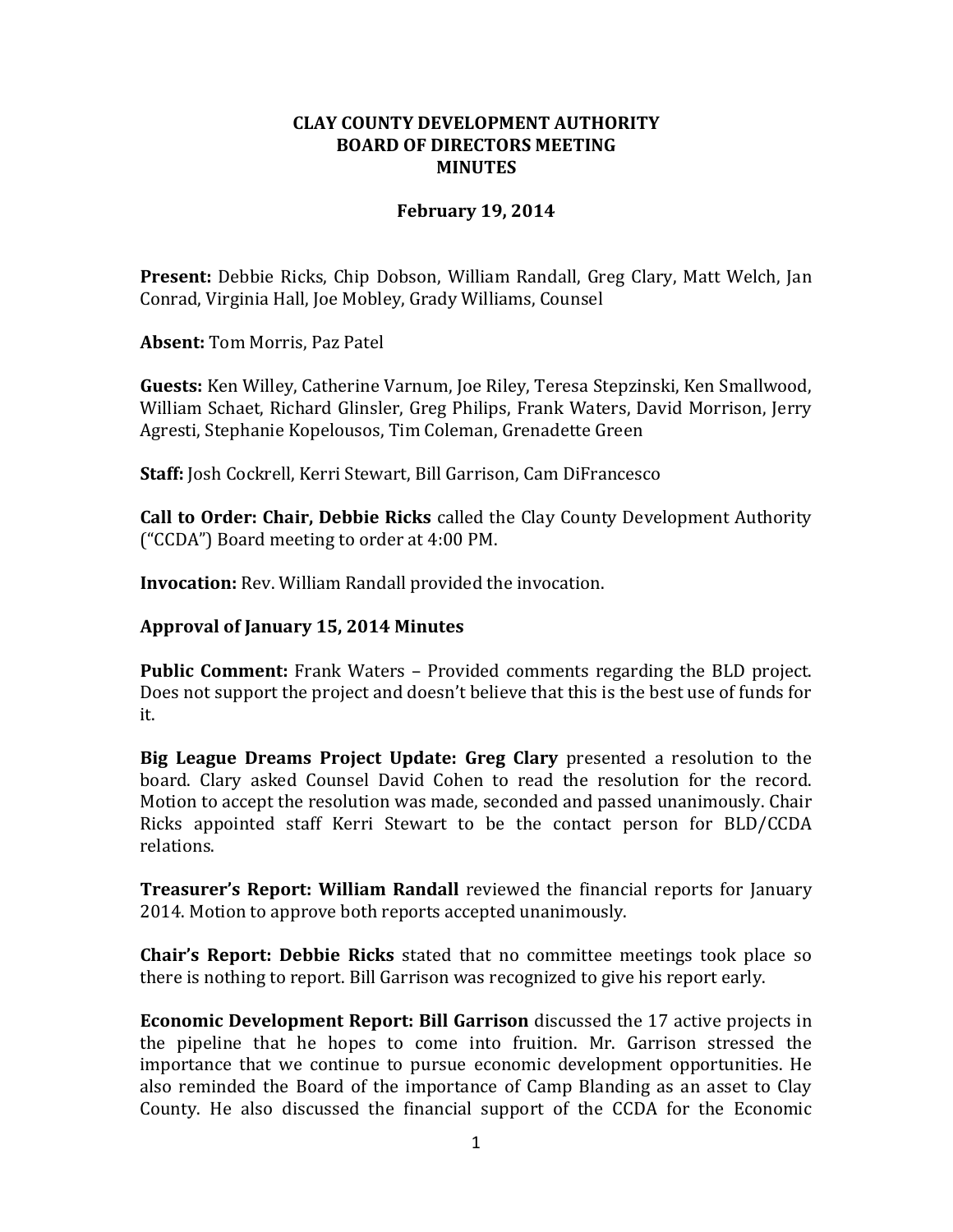## **CLAY COUNTY DEVELOPMENT AUTHORITY BOARD OF DIRECTORS MEETING MINUTES**

## **February 19, 2014**

**Present:** Debbie Ricks, Chip Dobson, William Randall, Greg Clary, Matt Welch, Jan Conrad, Virginia Hall, Joe Mobley, Grady Williams, Counsel

**Absent:** Tom Morris, Paz Patel

**Guests:** Ken Willey, Catherine Varnum, Joe Riley, Teresa Stepzinski, Ken Smallwood, William Schaet, Richard Glinsler, Greg Philips, Frank Waters, David Morrison, Jerry Agresti, Stephanie Kopelousos, Tim Coleman, Grenadette Green

**Staff:** Josh Cockrell, Kerri Stewart, Bill Garrison, Cam DiFrancesco

**Call to Order: Chair, Debbie Ricks** called the Clay County Development Authority ("CCDA") Board meeting to order at 4:00 PM.

**Invocation:** Rev. William Randall provided the invocation.

## **Approval of January 15, 2014 Minutes**

**Public Comment:** Frank Waters – Provided comments regarding the BLD project. Does not support the project and doesn't believe that this is the best use of funds for it.

**Big League Dreams Project Update: Greg Clary** presented a resolution to the board. Clary asked Counsel David Cohen to read the resolution for the record. Motion to accept the resolution was made, seconded and passed unanimously. Chair Ricks appointed staff Kerri Stewart to be the contact person for BLD/CCDA relations.

**Treasurer's Report: William Randall** reviewed the financial reports for January 2014. Motion to approve both reports accepted unanimously.

**Chair's Report: Debbie Ricks** stated that no committee meetings took place so there is nothing to report. Bill Garrison was recognized to give his report early.

**Economic Development Report: Bill Garrison** discussed the 17 active projects in the pipeline that he hopes to come into fruition. Mr. Garrison stressed the importance that we continue to pursue economic development opportunities. He also reminded the Board of the importance of Camp Blanding as an asset to Clay County. He also discussed the financial support of the CCDA for the Economic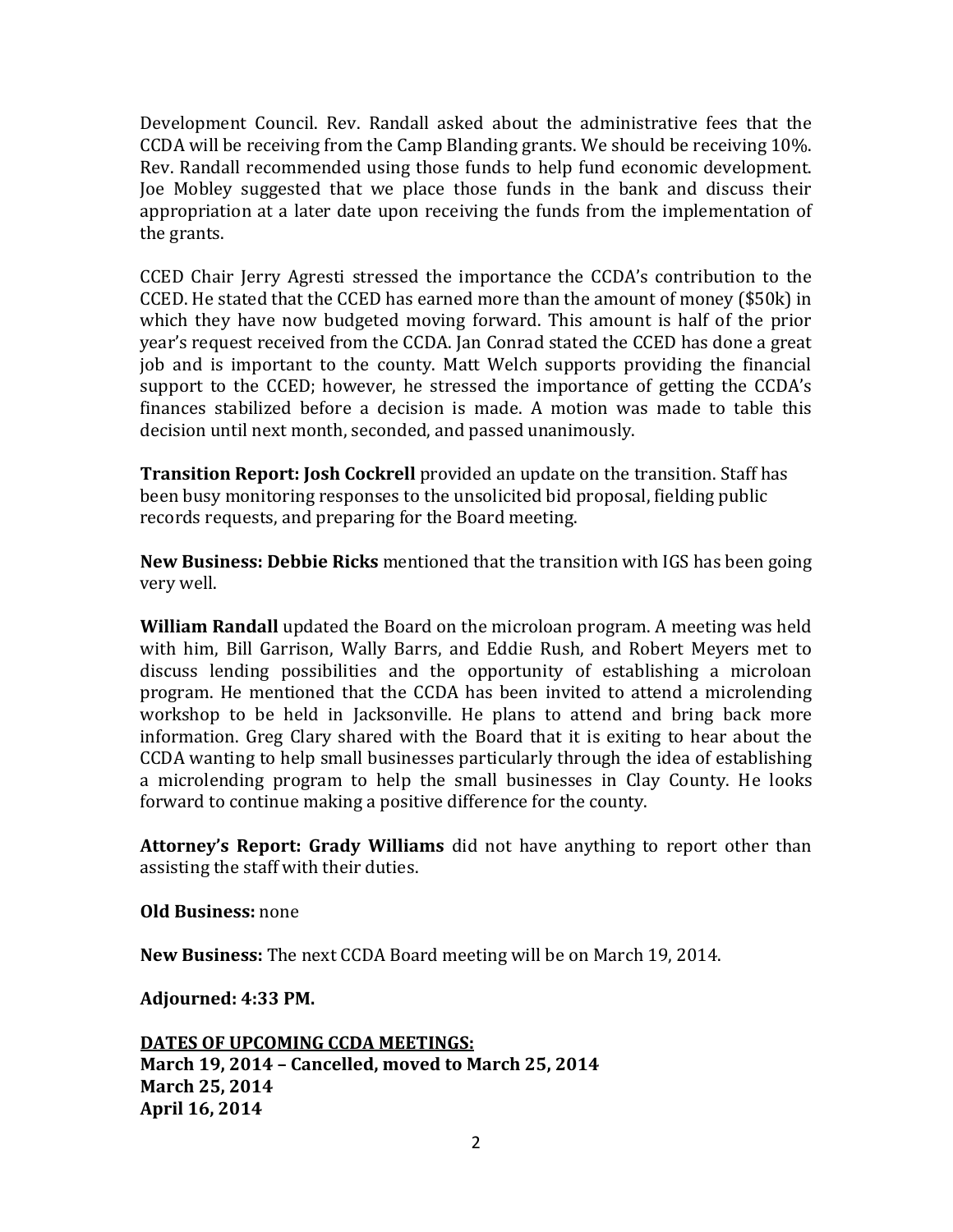Development Council. Rev. Randall asked about the administrative fees that the CCDA will be receiving from the Camp Blanding grants. We should be receiving 10%. Rev. Randall recommended using those funds to help fund economic development. Joe Mobley suggested that we place those funds in the bank and discuss their appropriation at a later date upon receiving the funds from the implementation of the grants.

CCED Chair Jerry Agresti stressed the importance the CCDA's contribution to the CCED. He stated that the CCED has earned more than the amount of money (\$50k) in which they have now budgeted moving forward. This amount is half of the prior year's request received from the CCDA. Jan Conrad stated the CCED has done a great job and is important to the county. Matt Welch supports providing the financial support to the CCED; however, he stressed the importance of getting the CCDA's finances stabilized before a decision is made. A motion was made to table this decision until next month, seconded, and passed unanimously.

**Transition Report: Josh Cockrell** provided an update on the transition. Staff has been busy monitoring responses to the unsolicited bid proposal, fielding public records requests, and preparing for the Board meeting.

**New Business: Debbie Ricks** mentioned that the transition with IGS has been going very well.

**William Randall** updated the Board on the microloan program. A meeting was held with him, Bill Garrison, Wally Barrs, and Eddie Rush, and Robert Meyers met to discuss lending possibilities and the opportunity of establishing a microloan program. He mentioned that the CCDA has been invited to attend a microlending workshop to be held in Jacksonville. He plans to attend and bring back more information. Greg Clary shared with the Board that it is exiting to hear about the CCDA wanting to help small businesses particularly through the idea of establishing a microlending program to help the small businesses in Clay County. He looks forward to continue making a positive difference for the county.

**Attorney's Report: Grady Williams** did not have anything to report other than assisting the staff with their duties.

**Old Business:** none

**New Business:** The next CCDA Board meeting will be on March 19, 2014.

**Adjourned: 4:33 PM.**

**DATES OF UPCOMING CCDA MEETINGS: March 19, 2014 – Cancelled, moved to March 25, 2014 March 25, 2014 April 16, 2014**